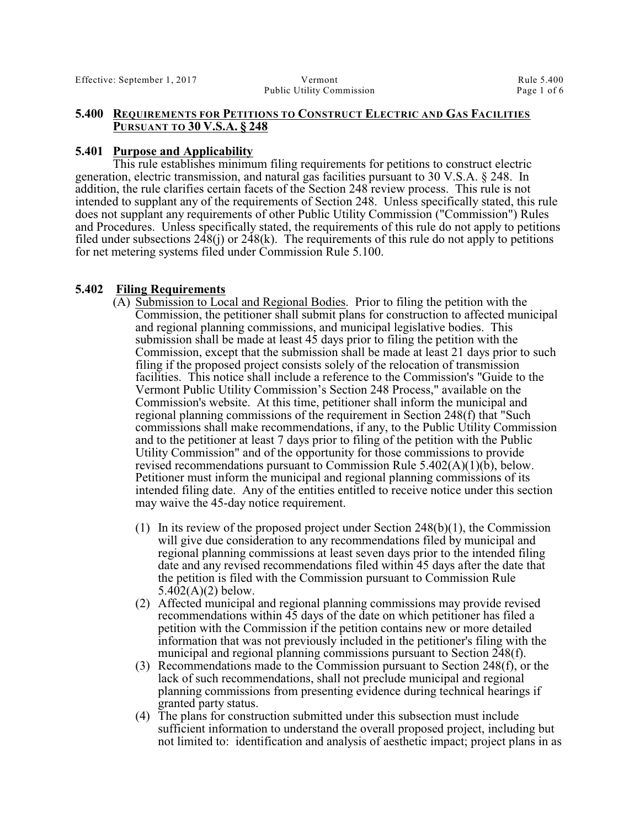#### **5.400 REQUIREMENTS FOR PETITIONS TO CONSTRUCT ELECTRIC AND GAS FACILITIES PURSUANT TO 30 V.S.A. § 248**

### **5.401 Purpose and Applicability**

This rule establishes minimum filing requirements for petitions to construct electric generation, electric transmission, and natural gas facilities pursuant to 30 V.S.A. § 248. In addition, the rule clarifies certain facets of the Section 248 review process. This rule is not intended to supplant any of the requirements of Section 248. Unless specifically stated, this rule does not supplant any requirements of other Public Utility Commission ("Commission") Rules and Procedures. Unless specifically stated, the requirements of this rule do not apply to petitions filed under subsections  $248(i)$  or  $248(k)$ . The requirements of this rule do not apply to petitions for net metering systems filed under Commission Rule 5.100.

### **5.402 Filing Requirements**

- (A) Submission to Local and Regional Bodies. Prior to filing the petition with the Commission, the petitioner shall submit plans for construction to affected municipal and regional planning commissions, and municipal legislative bodies. This submission shall be made at least 45 days prior to filing the petition with the Commission, except that the submission shall be made at least 21 days prior to such filing if the proposed project consists solely of the relocation of transmission facilities. This notice shall include a reference to the Commission's "Guide to the Vermont Public Utility Commission's Section 248 Process," available on the Commission's website. At this time, petitioner shall inform the municipal and regional planning commissions of the requirement in Section 248(f) that "Such commissions shall make recommendations, if any, to the Public Utility Commission and to the petitioner at least 7 days prior to filing of the petition with the Public Utility Commission" and of the opportunity for those commissions to provide revised recommendations pursuant to Commission Rule  $5.402(A)(1)(\overline{b})$ , below. Petitioner must inform the municipal and regional planning commissions of its intended filing date. Any of the entities entitled to receive notice under this section may waive the 45-day notice requirement.
	- (1) In its review of the proposed project under Section 248(b)(1), the Commission will give due consideration to any recommendations filed by municipal and regional planning commissions at least seven days prior to the intended filing date and any revised recommendations filed within 45 days after the date that the petition is filed with the Commission pursuant to Commission Rule 5.402(A)(2) below.
	- (2) Affected municipal and regional planning commissions may provide revised recommendations within 45 days of the date on which petitioner has filed a petition with the Commission if the petition contains new or more detailed information that was not previously included in the petitioner's filing with the municipal and regional planning commissions pursuant to Section 248(f).
	- (3) Recommendations made to the Commission pursuant to Section 248(f), or the lack of such recommendations, shall not preclude municipal and regional planning commissions from presenting evidence during technical hearings if granted party status.
	- (4) The plans for construction submitted under this subsection must include sufficient information to understand the overall proposed project, including but not limited to: identification and analysis of aesthetic impact; project plans in as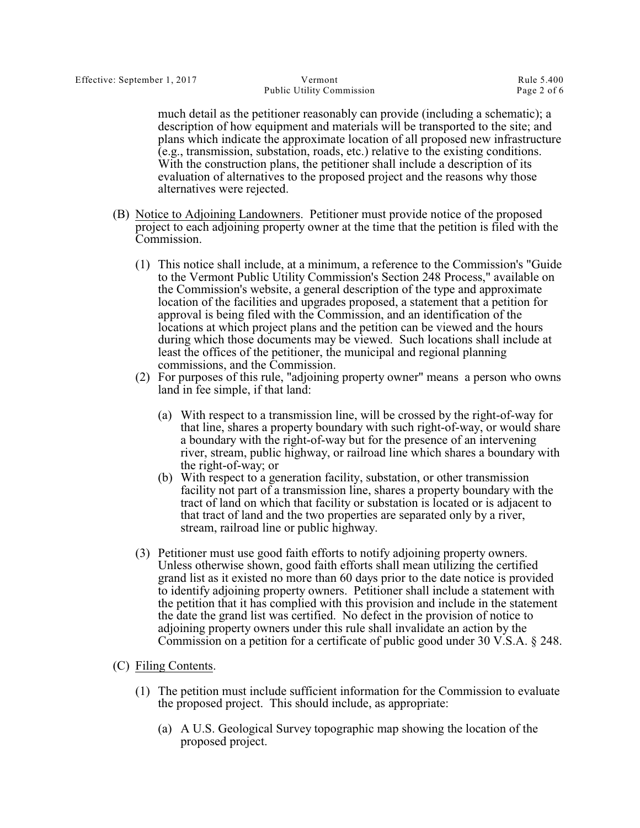much detail as the petitioner reasonably can provide (including a schematic); a description of how equipment and materials will be transported to the site; and plans which indicate the approximate location of all proposed new infrastructure (e.g., transmission, substation, roads, etc.) relative to the existing conditions. With the construction plans, the petitioner shall include a description of its evaluation of alternatives to the proposed project and the reasons why those alternatives were rejected.

- (B) Notice to Adjoining Landowners. Petitioner must provide notice of the proposed project to each adjoining property owner at the time that the petition is filed with the Commission.
	- (1) This notice shall include, at a minimum, a reference to the Commission's "Guide to the Vermont Public Utility Commission's Section 248 Process," available on the Commission's website, a general description of the type and approximate location of the facilities and upgrades proposed, a statement that a petition for approval is being filed with the Commission, and an identification of the locations at which project plans and the petition can be viewed and the hours during which those documents may be viewed. Such locations shall include at least the offices of the petitioner, the municipal and regional planning commissions, and the Commission.
	- (2) For purposes of this rule, "adjoining property owner" means a person who owns land in fee simple, if that land:
		- (a) With respect to a transmission line, will be crossed by the right-of-way for that line, shares a property boundary with such right-of-way, or would share a boundary with the right-of-way but for the presence of an intervening river, stream, public highway, or railroad line which shares a boundary with the right-of-way; or
		- (b) With respect to a generation facility, substation, or other transmission facility not part of a transmission line, shares a property boundary with the tract of land on which that facility or substation is located or is adjacent to that tract of land and the two properties are separated only by a river, stream, railroad line or public highway.
	- (3) Petitioner must use good faith efforts to notify adjoining property owners. Unless otherwise shown, good faith efforts shall mean utilizing the certified grand list as it existed no more than 60 days prior to the date notice is provided to identify adjoining property owners. Petitioner shall include a statement with the petition that it has complied with this provision and include in the statement the date the grand list was certified. No defect in the provision of notice to adjoining property owners under this rule shall invalidate an action by the Commission on a petition for a certificate of public good under 30 V.S.A. § 248.
- (C) Filing Contents.
	- (1) The petition must include sufficient information for the Commission to evaluate the proposed project. This should include, as appropriate:
		- (a) A U.S. Geological Survey topographic map showing the location of the proposed project.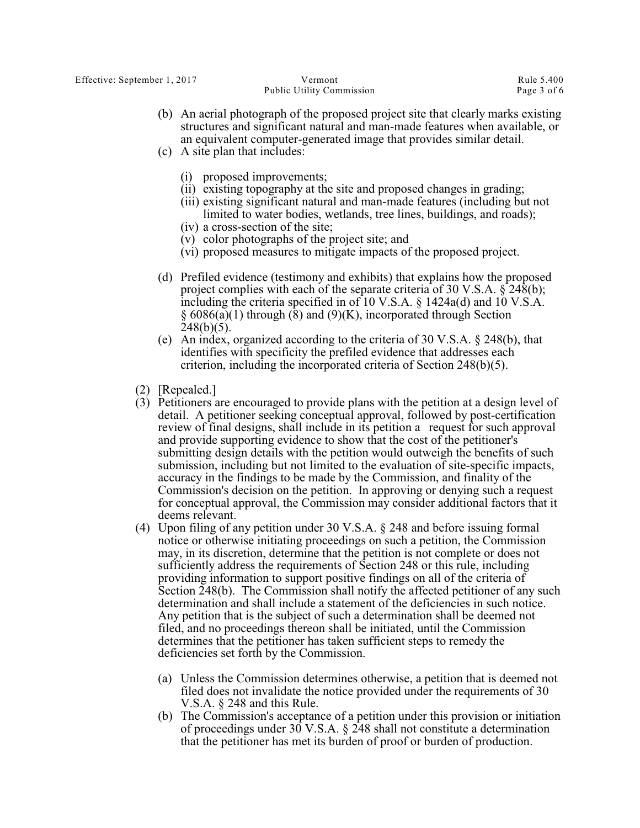Public Utility Commission Page 3 of 6

- (b) An aerial photograph of the proposed project site that clearly marks existing structures and significant natural and man-made features when available, or an equivalent computer-generated image that provides similar detail.
- (c) A site plan that includes:
	- (i) proposed improvements;
	- (ii) existing topography at the site and proposed changes in grading;
	- (iii) existing significant natural and man-made features (including but not limited to water bodies, wetlands, tree lines, buildings, and roads);
	- (iv) a cross-section of the site;
	- (v) color photographs of the project site; and
	- (vi) proposed measures to mitigate impacts of the proposed project.
- (d) Prefiled evidence (testimony and exhibits) that explains how the proposed project complies with each of the separate criteria of 30 V.S.A.  $\hat{\gamma}$  248(b); including the criteria specified in of 10 V.S.A. § 1424a(d) and 10 V.S.A. § 6086(a)(1) through (8) and (9)(K), incorporated through Section  $248(b)(5)$ .
- (e) An index, organized according to the criteria of 30 V.S.A. § 248(b), that identifies with specificity the prefiled evidence that addresses each criterion, including the incorporated criteria of Section 248(b)(5).
- (2) [Repealed.]
- (3) Petitioners are encouraged to provide plans with the petition at a design level of detail. A petitioner seeking conceptual approval, followed by post-certification review of final designs, shall include in its petition a request for such approval and provide supporting evidence to show that the cost of the petitioner's submitting design details with the petition would outweigh the benefits of such submission, including but not limited to the evaluation of site-specific impacts, accuracy in the findings to be made by the Commission, and finality of the Commission's decision on the petition. In approving or denying such a request for conceptual approval, the Commission may consider additional factors that it deems relevant.
- (4) Upon filing of any petition under 30 V.S.A. § 248 and before issuing formal notice or otherwise initiating proceedings on such a petition, the Commission may, in its discretion, determine that the petition is not complete or does not sufficiently address the requirements of Section 248 or this rule, including providing information to support positive findings on all of the criteria of Section 248(b). The Commission shall notify the affected petitioner of any such determination and shall include a statement of the deficiencies in such notice. Any petition that is the subject of such a determination shall be deemed not filed, and no proceedings thereon shall be initiated, until the Commission determines that the petitioner has taken sufficient steps to remedy the deficiencies set forth by the Commission.
	- (a) Unless the Commission determines otherwise, a petition that is deemed not filed does not invalidate the notice provided under the requirements of 30 V.S.A. § 248 and this Rule.
	- (b) The Commission's acceptance of a petition under this provision or initiation of proceedings under 30 V.S.A. § 248 shall not constitute a determination that the petitioner has met its burden of proof or burden of production.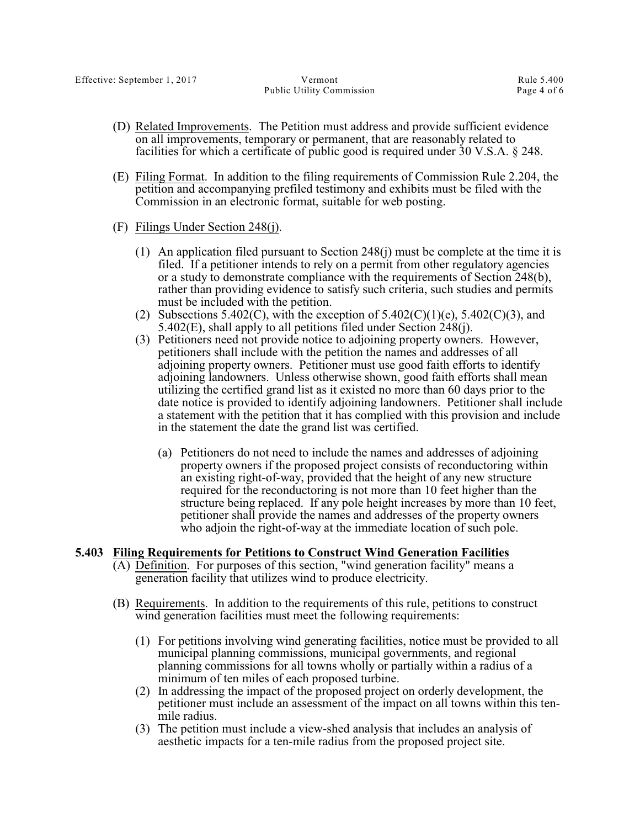- (D) Related Improvements. The Petition must address and provide sufficient evidence on all improvements, temporary or permanent, that are reasonably related to facilities for which a certificate of public good is required under 30 V.S.A. § 248.
- (E) Filing Format. In addition to the filing requirements of Commission Rule 2.204, the petition and accompanying prefiled testimony and exhibits must be filed with the Commission in an electronic format, suitable for web posting.
- (F) Filings Under Section 248(j).
	- (1) An application filed pursuant to Section 248(j) must be complete at the time it is filed. If a petitioner intends to rely on a permit from other regulatory agencies or a study to demonstrate compliance with the requirements of Section 248(b), rather than providing evidence to satisfy such criteria, such studies and permits must be included with the petition.
	- (2) Subsections 5.402(C), with the exception of  $5.402(C)(1)(e)$ ,  $5.402(C)(3)$ , and 5.402(E), shall apply to all petitions filed under Section 248(j).
	- (3) Petitioners need not provide notice to adjoining property owners. However, petitioners shall include with the petition the names and addresses of all adjoining property owners. Petitioner must use good faith efforts to identify adjoining landowners. Unless otherwise shown, good faith efforts shall mean utilizing the certified grand list as it existed no more than 60 days prior to the date notice is provided to identify adjoining landowners. Petitioner shall include a statement with the petition that it has complied with this provision and include in the statement the date the grand list was certified.
		- (a) Petitioners do not need to include the names and addresses of adjoining property owners if the proposed project consists of reconductoring within an existing right-of-way, provided that the height of any new structure required for the reconductoring is not more than 10 feet higher than the structure being replaced. If any pole height increases by more than 10 feet, petitioner shall provide the names and addresses of the property owners who adjoin the right-of-way at the immediate location of such pole.

### **5.403 Filing Requirements for Petitions to Construct Wind Generation Facilities**

- (A) Definition. For purposes of this section, "wind generation facility" means a generation facility that utilizes wind to produce electricity.
- (B) Requirements. In addition to the requirements of this rule, petitions to construct wind generation facilities must meet the following requirements:
	- (1) For petitions involving wind generating facilities, notice must be provided to all municipal planning commissions, municipal governments, and regional planning commissions for all towns wholly or partially within a radius of a minimum of ten miles of each proposed turbine.
	- (2) In addressing the impact of the proposed project on orderly development, the petitioner must include an assessment of the impact on all towns within this tenmile radius.
	- (3) The petition must include a view-shed analysis that includes an analysis of aesthetic impacts for a ten-mile radius from the proposed project site.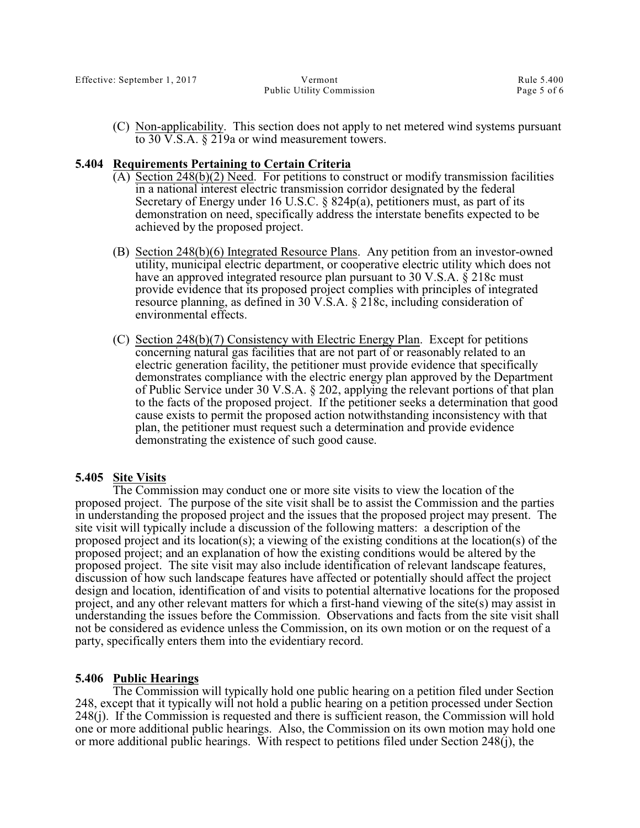(C) Non-applicability. This section does not apply to net metered wind systems pursuant to 30 V.S.A. § 219a or wind measurement towers.

#### **5.404 Requirements Pertaining to Certain Criteria**

- $(A)$  Section 248(b)(2) Need. For petitions to construct or modify transmission facilities in a national interest electric transmission corridor designated by the federal Secretary of Energy under 16 U.S.C. § 824p(a), petitioners must, as part of its demonstration on need, specifically address the interstate benefits expected to be achieved by the proposed project.
- (B) Section 248(b)(6) Integrated Resource Plans. Any petition from an investor-owned utility, municipal electric department, or cooperative electric utility which does not have an approved integrated resource plan pursuant to 30 V.S.A. § 218c must provide evidence that its proposed project complies with principles of integrated resource planning, as defined in 30 V.S.A. § 218c, including consideration of environmental effects.
- (C) Section 248(b)(7) Consistency with Electric Energy Plan. Except for petitions concerning natural gas facilities that are not part of or reasonably related to an electric generation facility, the petitioner must provide evidence that specifically demonstrates compliance with the electric energy plan approved by the Department of Public Service under 30 V.S.A. § 202, applying the relevant portions of that plan to the facts of the proposed project. If the petitioner seeks a determination that good cause exists to permit the proposed action notwithstanding inconsistency with that plan, the petitioner must request such a determination and provide evidence demonstrating the existence of such good cause.

#### **5.405 Site Visits**

The Commission may conduct one or more site visits to view the location of the proposed project. The purpose of the site visit shall be to assist the Commission and the parties in understanding the proposed project and the issues that the proposed project may present. The site visit will typically include a discussion of the following matters: a description of the proposed project and its location(s); a viewing of the existing conditions at the location(s) of the proposed project; and an explanation of how the existing conditions would be altered by the proposed project. The site visit may also include identification of relevant landscape features, discussion of how such landscape features have affected or potentially should affect the project design and location, identification of and visits to potential alternative locations for the proposed project, and any other relevant matters for which a first-hand viewing of the site(s) may assist in understanding the issues before the Commission. Observations and facts from the site visit shall not be considered as evidence unless the Commission, on its own motion or on the request of a party, specifically enters them into the evidentiary record.

### **5.406 Public Hearings**

The Commission will typically hold one public hearing on a petition filed under Section 248, except that it typically will not hold a public hearing on a petition processed under Section 248(j). If the Commission is requested and there is sufficient reason, the Commission will hold one or more additional public hearings. Also, the Commission on its own motion may hold one or more additional public hearings. With respect to petitions filed under Section 248(j), the